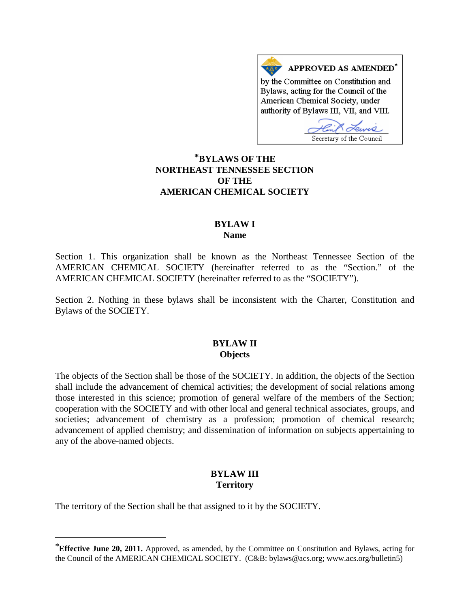APPROVED AS AMENDED\* by the Committee on Constitution and Bylaws, acting for the Council of the American Chemical Society, under authority of Bylaws III, VII, and VIII.

Secretary of the Council

# **[\\*](#page-0-0)BYLAWS OF THE NORTHEAST TENNESSEE SECTION OF THE AMERICAN CHEMICAL SOCIETY**

### **BYLAW I Name**

Section 1. This organization shall be known as the Northeast Tennessee Section of the AMERICAN CHEMICAL SOCIETY (hereinafter referred to as the "Section." of the AMERICAN CHEMICAL SOCIETY (hereinafter referred to as the "SOCIETY").

Section 2. Nothing in these bylaws shall be inconsistent with the Charter, Constitution and Bylaws of the SOCIETY.

### **BYLAW II Objects**

The objects of the Section shall be those of the SOCIETY. In addition, the objects of the Section shall include the advancement of chemical activities; the development of social relations among those interested in this science; promotion of general welfare of the members of the Section; cooperation with the SOCIETY and with other local and general technical associates, groups, and societies; advancement of chemistry as a profession; promotion of chemical research; advancement of applied chemistry; and dissemination of information on subjects appertaining to any of the above-named objects.

# **BYLAW III Territory**

The territory of the Section shall be that assigned to it by the SOCIETY.

 $\overline{a}$ 

<span id="page-0-0"></span><sup>\*</sup>**Effective June 20, 2011.** Approved, as amended, by the Committee on Constitution and Bylaws, acting for the Council of the AMERICAN CHEMICAL SOCIETY. (C&B: bylaws@acs.org; www.acs.org/bulletin5)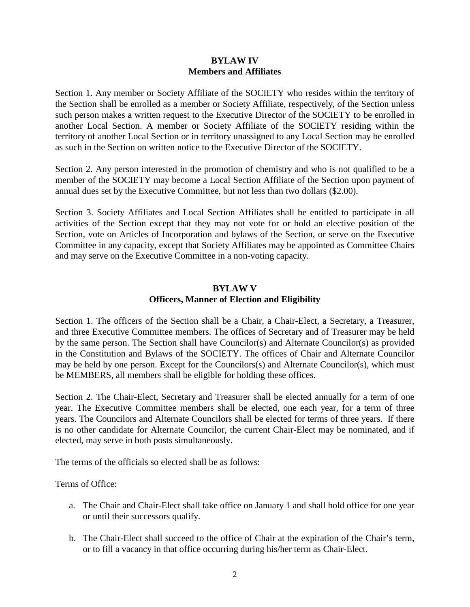### **BYLAW IV Members and Affiliates**

Section 1. Any member or Society Affiliate of the SOCIETY who resides within the territory of the Section shall be enrolled as a member or Society Affiliate, respectively, of the Section unless such person makes a written request to the Executive Director of the SOCIETY to be enrolled in another Local Section. A member or Society Affiliate of the SOCIETY residing within the territory of another Local Section or in territory unassigned to any Local Section may be enrolled as such in the Section on written notice to the Executive Director of the SOCIETY.

Section 2. Any person interested in the promotion of chemistry and who is not qualified to be a member of the SOCIETY may become a Local Section Affiliate of the Section upon payment of annual dues set by the Executive Committee, but not less than two dollars (\$2.00).

Section 3. Society Affiliates and Local Section Affiliates shall be entitled to participate in all activities of the Section except that they may not vote for or hold an elective position of the Section, vote on Articles of Incorporation and bylaws of the Section, or serve on the Executive Committee in any capacity, except that Society Affiliates may be appointed as Committee Chairs and may serve on the Executive Committee in a non-voting capacity.

# **BYLAW V Officers, Manner of Election and Eligibility**

Section 1. The officers of the Section shall be a Chair, a Chair-Elect, a Secretary, a Treasurer, and three Executive Committee members. The offices of Secretary and of Treasurer may be held by the same person. The Section shall have Councilor(s) and Alternate Councilor(s) as provided in the Constitution and Bylaws of the SOCIETY. The offices of Chair and Alternate Councilor may be held by one person. Except for the Councilors(s) and Alternate Councilor(s), which must be MEMBERS, all members shall be eligible for holding these offices.

Section 2. The Chair-Elect, Secretary and Treasurer shall be elected annually for a term of one year. The Executive Committee members shall be elected, one each year, for a term of three years. The Councilors and Alternate Councilors shall be elected for terms of three years. If there is no other candidate for Alternate Councilor, the current Chair-Elect may be nominated, and if elected, may serve in both posts simultaneously.

The terms of the officials so elected shall be as follows:

Terms of Office:

- a. The Chair and Chair-Elect shall take office on January 1 and shall hold office for one year or until their successors qualify.
- b. The Chair-Elect shall succeed to the office of Chair at the expiration of the Chair's term, or to fill a vacancy in that office occurring during his/her term as Chair-Elect.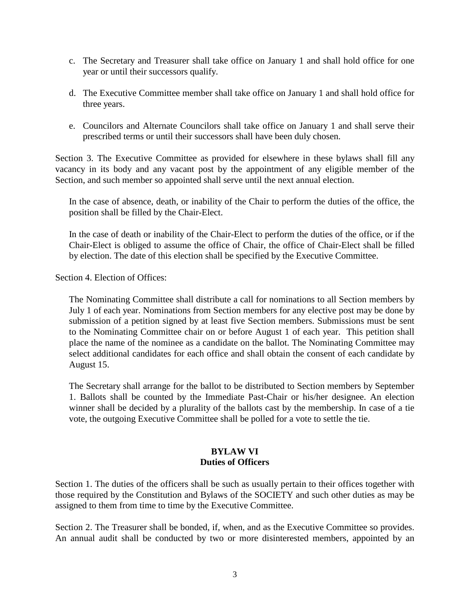- c. The Secretary and Treasurer shall take office on January 1 and shall hold office for one year or until their successors qualify.
- d. The Executive Committee member shall take office on January 1 and shall hold office for three years.
- e. Councilors and Alternate Councilors shall take office on January 1 and shall serve their prescribed terms or until their successors shall have been duly chosen.

Section 3. The Executive Committee as provided for elsewhere in these bylaws shall fill any vacancy in its body and any vacant post by the appointment of any eligible member of the Section, and such member so appointed shall serve until the next annual election.

In the case of absence, death, or inability of the Chair to perform the duties of the office, the position shall be filled by the Chair-Elect.

In the case of death or inability of the Chair-Elect to perform the duties of the office, or if the Chair-Elect is obliged to assume the office of Chair, the office of Chair-Elect shall be filled by election. The date of this election shall be specified by the Executive Committee.

Section 4. Election of Offices:

The Nominating Committee shall distribute a call for nominations to all Section members by July 1 of each year. Nominations from Section members for any elective post may be done by submission of a petition signed by at least five Section members. Submissions must be sent to the Nominating Committee chair on or before August 1 of each year. This petition shall place the name of the nominee as a candidate on the ballot. The Nominating Committee may select additional candidates for each office and shall obtain the consent of each candidate by August 15.

The Secretary shall arrange for the ballot to be distributed to Section members by September 1. Ballots shall be counted by the Immediate Past-Chair or his/her designee. An election winner shall be decided by a plurality of the ballots cast by the membership. In case of a tie vote, the outgoing Executive Committee shall be polled for a vote to settle the tie.

# **BYLAW VI Duties of Officers**

Section 1. The duties of the officers shall be such as usually pertain to their offices together with those required by the Constitution and Bylaws of the SOCIETY and such other duties as may be assigned to them from time to time by the Executive Committee.

Section 2. The Treasurer shall be bonded, if, when, and as the Executive Committee so provides. An annual audit shall be conducted by two or more disinterested members, appointed by an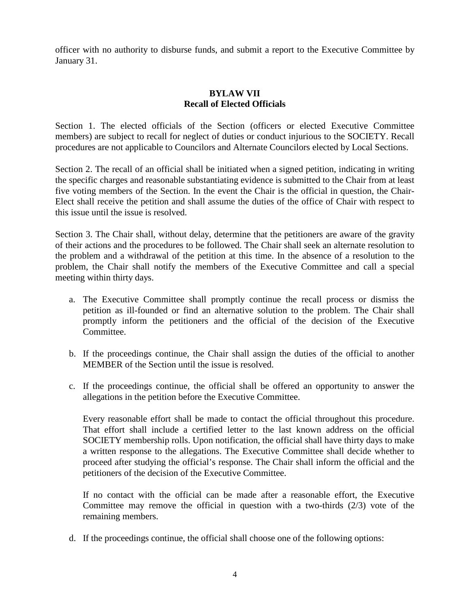officer with no authority to disburse funds, and submit a report to the Executive Committee by January 31.

# **BYLAW VII Recall of Elected Officials**

Section 1. The elected officials of the Section (officers or elected Executive Committee members) are subject to recall for neglect of duties or conduct injurious to the SOCIETY. Recall procedures are not applicable to Councilors and Alternate Councilors elected by Local Sections.

Section 2. The recall of an official shall be initiated when a signed petition, indicating in writing the specific charges and reasonable substantiating evidence is submitted to the Chair from at least five voting members of the Section. In the event the Chair is the official in question, the Chair-Elect shall receive the petition and shall assume the duties of the office of Chair with respect to this issue until the issue is resolved.

Section 3. The Chair shall, without delay, determine that the petitioners are aware of the gravity of their actions and the procedures to be followed. The Chair shall seek an alternate resolution to the problem and a withdrawal of the petition at this time. In the absence of a resolution to the problem, the Chair shall notify the members of the Executive Committee and call a special meeting within thirty days.

- a. The Executive Committee shall promptly continue the recall process or dismiss the petition as ill-founded or find an alternative solution to the problem. The Chair shall promptly inform the petitioners and the official of the decision of the Executive Committee.
- b. If the proceedings continue, the Chair shall assign the duties of the official to another MEMBER of the Section until the issue is resolved.
- c. If the proceedings continue, the official shall be offered an opportunity to answer the allegations in the petition before the Executive Committee.

Every reasonable effort shall be made to contact the official throughout this procedure. That effort shall include a certified letter to the last known address on the official SOCIETY membership rolls. Upon notification, the official shall have thirty days to make a written response to the allegations. The Executive Committee shall decide whether to proceed after studying the official's response. The Chair shall inform the official and the petitioners of the decision of the Executive Committee.

If no contact with the official can be made after a reasonable effort, the Executive Committee may remove the official in question with a two-thirds (2/3) vote of the remaining members.

d. If the proceedings continue, the official shall choose one of the following options: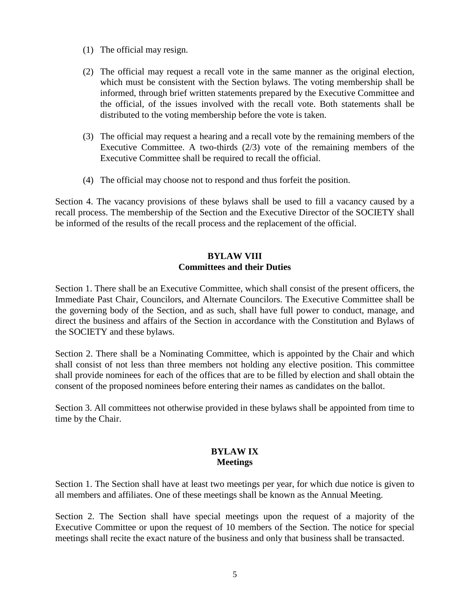- (1) The official may resign.
- (2) The official may request a recall vote in the same manner as the original election, which must be consistent with the Section bylaws. The voting membership shall be informed, through brief written statements prepared by the Executive Committee and the official, of the issues involved with the recall vote. Both statements shall be distributed to the voting membership before the vote is taken.
- (3) The official may request a hearing and a recall vote by the remaining members of the Executive Committee. A two-thirds (2/3) vote of the remaining members of the Executive Committee shall be required to recall the official.
- (4) The official may choose not to respond and thus forfeit the position.

Section 4. The vacancy provisions of these bylaws shall be used to fill a vacancy caused by a recall process. The membership of the Section and the Executive Director of the SOCIETY shall be informed of the results of the recall process and the replacement of the official.

# **BYLAW VIII Committees and their Duties**

Section 1. There shall be an Executive Committee, which shall consist of the present officers, the Immediate Past Chair, Councilors, and Alternate Councilors. The Executive Committee shall be the governing body of the Section, and as such, shall have full power to conduct, manage, and direct the business and affairs of the Section in accordance with the Constitution and Bylaws of the SOCIETY and these bylaws.

Section 2. There shall be a Nominating Committee, which is appointed by the Chair and which shall consist of not less than three members not holding any elective position. This committee shall provide nominees for each of the offices that are to be filled by election and shall obtain the consent of the proposed nominees before entering their names as candidates on the ballot.

Section 3. All committees not otherwise provided in these bylaws shall be appointed from time to time by the Chair.

### **BYLAW IX Meetings**

Section 1. The Section shall have at least two meetings per year, for which due notice is given to all members and affiliates. One of these meetings shall be known as the Annual Meeting.

Section 2. The Section shall have special meetings upon the request of a majority of the Executive Committee or upon the request of 10 members of the Section. The notice for special meetings shall recite the exact nature of the business and only that business shall be transacted.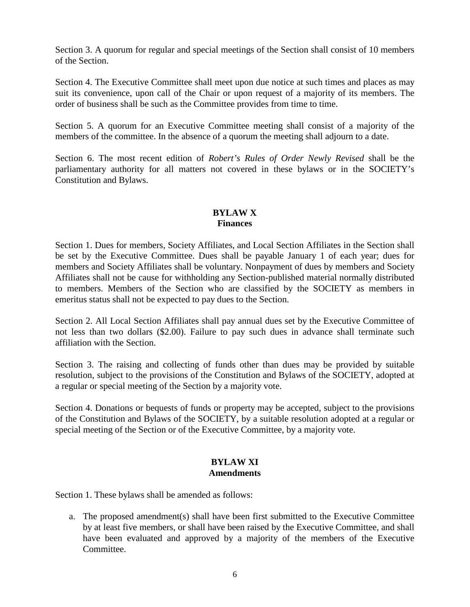Section 3. A quorum for regular and special meetings of the Section shall consist of 10 members of the Section.

Section 4. The Executive Committee shall meet upon due notice at such times and places as may suit its convenience, upon call of the Chair or upon request of a majority of its members. The order of business shall be such as the Committee provides from time to time.

Section 5. A quorum for an Executive Committee meeting shall consist of a majority of the members of the committee. In the absence of a quorum the meeting shall adjourn to a date.

Section 6. The most recent edition of *Robert's Rules of Order Newly Revised* shall be the parliamentary authority for all matters not covered in these bylaws or in the SOCIETY's Constitution and Bylaws.

# **BYLAW X Finances**

Section 1. Dues for members, Society Affiliates, and Local Section Affiliates in the Section shall be set by the Executive Committee. Dues shall be payable January 1 of each year; dues for members and Society Affiliates shall be voluntary. Nonpayment of dues by members and Society Affiliates shall not be cause for withholding any Section-published material normally distributed to members. Members of the Section who are classified by the SOCIETY as members in emeritus status shall not be expected to pay dues to the Section.

Section 2. All Local Section Affiliates shall pay annual dues set by the Executive Committee of not less than two dollars (\$2.00). Failure to pay such dues in advance shall terminate such affiliation with the Section.

Section 3. The raising and collecting of funds other than dues may be provided by suitable resolution, subject to the provisions of the Constitution and Bylaws of the SOCIETY, adopted at a regular or special meeting of the Section by a majority vote.

Section 4. Donations or bequests of funds or property may be accepted, subject to the provisions of the Constitution and Bylaws of the SOCIETY, by a suitable resolution adopted at a regular or special meeting of the Section or of the Executive Committee, by a majority vote.

### **BYLAW XI Amendments**

Section 1. These bylaws shall be amended as follows:

a. The proposed amendment(s) shall have been first submitted to the Executive Committee by at least five members, or shall have been raised by the Executive Committee, and shall have been evaluated and approved by a majority of the members of the Executive Committee.